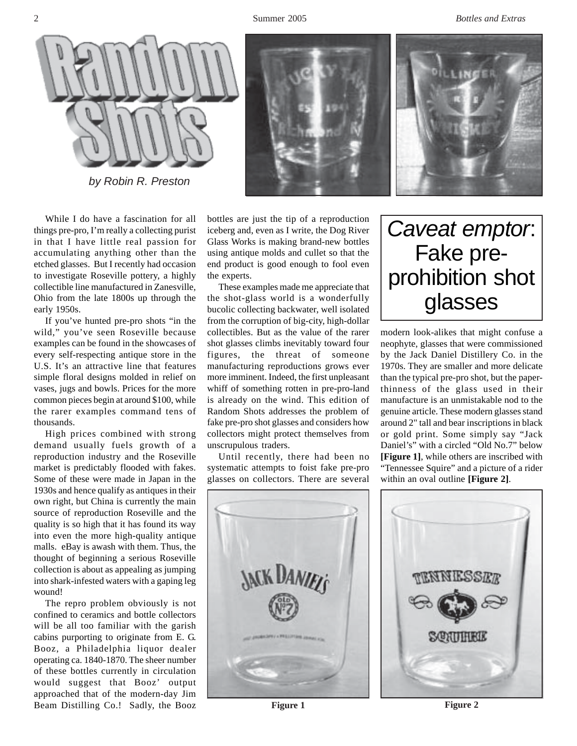2 Summer 2005 *Bottles and Extras*







While I do have a fascination for all things pre-pro, I'm really a collecting purist in that I have little real passion for accumulating anything other than the etched glasses. But I recently had occasion to investigate Roseville pottery, a highly collectible line manufactured in Zanesville, Ohio from the late 1800s up through the early 1950s.

If you've hunted pre-pro shots "in the wild," you've seen Roseville because examples can be found in the showcases of every self-respecting antique store in the U.S. It's an attractive line that features simple floral designs molded in relief on vases, jugs and bowls. Prices for the more common pieces begin at around \$100, while the rarer examples command tens of thousands.

High prices combined with strong demand usually fuels growth of a reproduction industry and the Roseville market is predictably flooded with fakes. Some of these were made in Japan in the 1930s and hence qualify as antiques in their own right, but China is currently the main source of reproduction Roseville and the quality is so high that it has found its way into even the more high-quality antique malls. eBay is awash with them. Thus, the thought of beginning a serious Roseville collection is about as appealing as jumping into shark-infested waters with a gaping leg wound!

The repro problem obviously is not confined to ceramics and bottle collectors will be all too familiar with the garish cabins purporting to originate from E. G. Booz, a Philadelphia liquor dealer operating ca. 1840-1870. The sheer number of these bottles currently in circulation would suggest that Booz' output approached that of the modern-day Jim Beam Distilling Co.! Sadly, the Booz

bottles are just the tip of a reproduction iceberg and, even as I write, the Dog River Glass Works is making brand-new bottles using antique molds and cullet so that the end product is good enough to fool even the experts.

These examples made me appreciate that the shot-glass world is a wonderfully bucolic collecting backwater, well isolated from the corruption of big-city, high-dollar collectibles. But as the value of the rarer shot glasses climbs inevitably toward four figures, the threat of someone manufacturing reproductions grows ever more imminent. Indeed, the first unpleasant whiff of something rotten in pre-pro-land is already on the wind. This edition of Random Shots addresses the problem of fake pre-pro shot glasses and considers how collectors might protect themselves from unscrupulous traders.

Until recently, there had been no systematic attempts to foist fake pre-pro glasses on collectors. There are several



modern look-alikes that might confuse a neophyte, glasses that were commissioned by the Jack Daniel Distillery Co. in the 1970s. They are smaller and more delicate than the typical pre-pro shot, but the paperthinness of the glass used in their manufacture is an unmistakable nod to the genuine article. These modern glasses stand around 2" tall and bear inscriptions in black or gold print. Some simply say "Jack Daniel's" with a circled "Old No.7" below **[Figure 1]**, while others are inscribed with "Tennessee Squire" and a picture of a rider within an oval outline **[Figure 2]**.



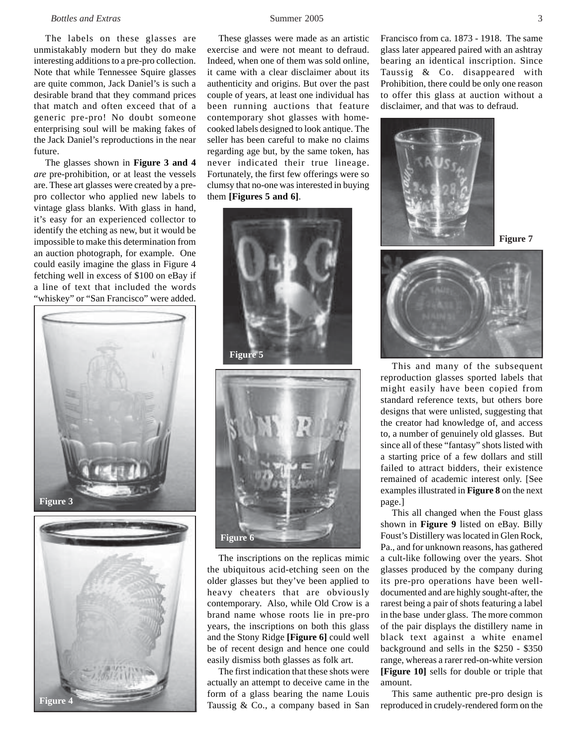## *Bottles and Extras* Summer 2005 3

The labels on these glasses are unmistakably modern but they do make interesting additions to a pre-pro collection. Note that while Tennessee Squire glasses are quite common, Jack Daniel's is such a desirable brand that they command prices that match and often exceed that of a generic pre-pro! No doubt someone enterprising soul will be making fakes of the Jack Daniel's reproductions in the near future.

The glasses shown in **Figure 3 and 4** *are* pre-prohibition, or at least the vessels are. These art glasses were created by a prepro collector who applied new labels to vintage glass blanks. With glass in hand, it's easy for an experienced collector to identify the etching as new, but it would be impossible to make this determination from an auction photograph, for example. One could easily imagine the glass in Figure 4 fetching well in excess of \$100 on eBay if a line of text that included the words "whiskey" or "San Francisco" were added.





These glasses were made as an artistic exercise and were not meant to defraud. Indeed, when one of them was sold online, it came with a clear disclaimer about its authenticity and origins. But over the past couple of years, at least one individual has been running auctions that feature contemporary shot glasses with homecooked labels designed to look antique. The seller has been careful to make no claims regarding age but, by the same token, has never indicated their true lineage. Fortunately, the first few offerings were so clumsy that no-one was interested in buying them **[Figures 5 and 6]**.





The inscriptions on the replicas mimic the ubiquitous acid-etching seen on the older glasses but they've been applied to heavy cheaters that are obviously contemporary. Also, while Old Crow is a brand name whose roots lie in pre-pro years, the inscriptions on both this glass and the Stony Ridge **[Figure 6]** could well be of recent design and hence one could easily dismiss both glasses as folk art.

The first indication that these shots were actually an attempt to deceive came in the form of a glass bearing the name Louis Taussig & Co., a company based in San Francisco from ca. 1873 - 1918. The same glass later appeared paired with an ashtray bearing an identical inscription. Since Taussig & Co. disappeared with Prohibition, there could be only one reason to offer this glass at auction without a disclaimer, and that was to defraud.







This and many of the subsequent reproduction glasses sported labels that might easily have been copied from standard reference texts, but others bore designs that were unlisted, suggesting that the creator had knowledge of, and access to, a number of genuinely old glasses. But since all of these "fantasy" shots listed with a starting price of a few dollars and still failed to attract bidders, their existence remained of academic interest only. [See examples illustrated in **Figure 8** on the next page.]

This all changed when the Foust glass shown in **Figure 9** listed on eBay. Billy Foust's Distillery was located in Glen Rock, Pa., and for unknown reasons, has gathered a cult-like following over the years. Shot glasses produced by the company during its pre-pro operations have been welldocumented and are highly sought-after, the rarest being a pair of shots featuring a label in the base under glass. The more common of the pair displays the distillery name in black text against a white enamel background and sells in the \$250 - \$350 range, whereas a rarer red-on-white version **[Figure 10]** sells for double or triple that amount.

This same authentic pre-pro design is reproduced in crudely-rendered form on the